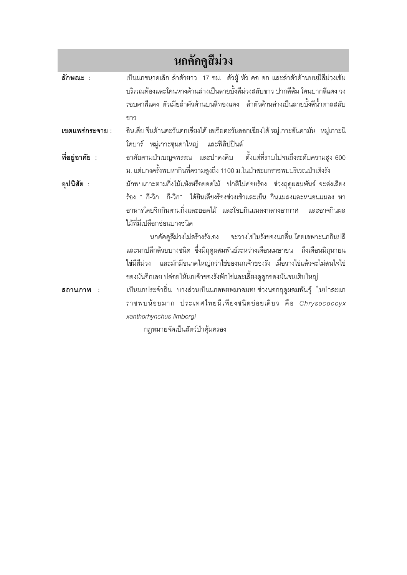## นกคัคคูสีม่วง

้เป็นนกขนาดเล็ก ลำตัวยาว 17 ซม. ตัวผู้ หัว คอ อก และลำตัวด้านบนมีสีม่วงเข้ม ลักษณะ : ้บริเวณท้องและโคนหางด้านล่างเป็นลายบั้งสีม่วงสลับขาว ปากสีส้ม โคนปากสีแดง วง ิรคบตาสีแดง ตัวเมียลำตัวด้านบนสีทคงแดง ลำตัวด้านล่างเป็นลายบั้งสีน้ำตาลสลับ ขาว เขตแพร่กระจาย : อินเดีย จีนด้านตะวันตกเฉียงใต้ เอเชียตะวันออกเฉียงใต้ หมู่เกาะอันดามัน หมู่เกาะนิ โคบาร์ หมู่เกาะซุนดาใหญ่ และฟิลิปปินส์ ตั้งแต่ที่ราบไปจนถึงระดับความสูง 600 ที่อยู่อาศัย : อาศัยตามป่าเบญจพรรณ และป่าดงดิบ ่ม. แต่บางครั้งพบหากินที่ความสูงถึง 1100 ม.ในป่าสะแกราชพบบริเวณป่าเต็งรัง ้มักพบเกาะตามกิ่งไม้แห้งหรือยอดไม้ ปกติไม่ค่อยร้อง ช่วงฤดูผสมพันธ์ จะส่งเสียง อปนิสัย : ร้อง " กี-วิก กี-วิก" ได้ยินเสียงร้องช่วงเช้าและเย็น กินแมลงและหนอนแมลง หา ้อาหารโดยจิกกินตามกิ่งและยอดไม้ และโฉบกินแมลงกลางอากาศ และอาจกินผล ไม้ที่มีเปลือกอ่อนบางชนิด นกคัคคูสีม่วงไม่สร้างรังเอง จะวางไข่ในรังของนกอื่น โดยเฉพาะนกกินปลี และนกปลีกล้วยบางชนิด ซึ่งมีฤดูผสมพันธ์ระหว่างเดือนเมษายน ถึงเดือนมิถุนายน ไข่มีสีม่วง และมักมีขนาดใหญ่กว่าไข่ของนกเจ้าของรัง เมื่อวางไข่แล้วจะไม่สนใจไข่ ของมันอีกเลย ปล่อยให้นกเจ้าของรังฟักไข่และเลี้ยงดูลูกของมันจนเติบใหญ่ ้เป็นนกประจำถิ่น บางส่วนเป็นนกอพยพมาสมทบช่วงนอกฤดูผสมพันธุ์ ในป่าสะแก สถานภาพ : ราชพบน้อยมาก ประเทศไทยมีเพียงชนิดย่อยเดียว คือ Chrysococcyx xanthorhynchus limborgi

กฎหมายจัดเป็นสัตว์ป่าคุ้มครอง